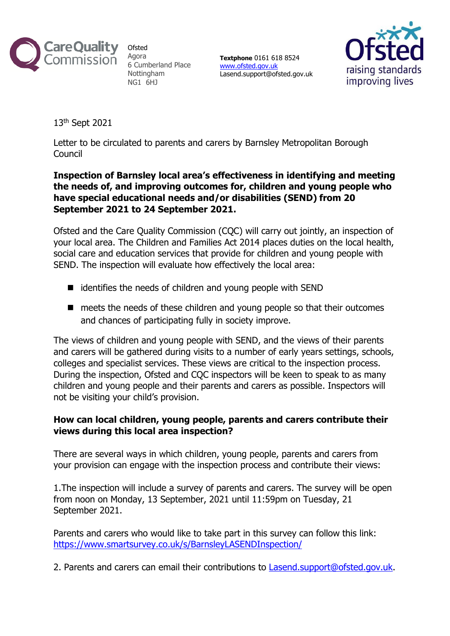

**Ofsted** Agora 6 Cumberland Place Nottingham NG1 6HJ

**Textphone** 0161 618 8524 [www.ofsted.gov.uk](http://www.ofsted.gov.uk/) Lasend.support@ofsted.gov.uk



13th Sept 2021

Letter to be circulated to parents and carers by Barnsley Metropolitan Borough Council

## **Inspection of Barnsley local area's effectiveness in identifying and meeting the needs of, and improving outcomes for, children and young people who have special educational needs and/or disabilities (SEND) from 20 September 2021 to 24 September 2021.**

Ofsted and the Care Quality Commission (CQC) will carry out jointly, an inspection of your local area. The Children and Families Act 2014 places duties on the local health, social care and education services that provide for children and young people with SEND. The inspection will evaluate how effectively the local area:

- identifies the needs of children and young people with SEND
- meets the needs of these children and young people so that their outcomes and chances of participating fully in society improve.

The views of children and young people with SEND, and the views of their parents and carers will be gathered during visits to a number of early years settings, schools, colleges and specialist services. These views are critical to the inspection process. During the inspection, Ofsted and CQC inspectors will be keen to speak to as many children and young people and their parents and carers as possible. Inspectors will not be visiting your child's provision.

## **How can local children, young people, parents and carers contribute their views during this local area inspection?**

There are several ways in which children, young people, parents and carers from your provision can engage with the inspection process and contribute their views:

1.The inspection will include a survey of parents and carers. The survey will be open from noon on Monday, 13 September, 2021 until 11:59pm on Tuesday, 21 September 2021.

Parents and carers who would like to take part in this survey can follow this link: <https://www.smartsurvey.co.uk/s/BarnsleyLASENDInspection/>

2. Parents and carers can email their contributions to [Lasend.support@ofsted.gov.uk.](mailto:Lasend.support@ofsted.gov.uk)